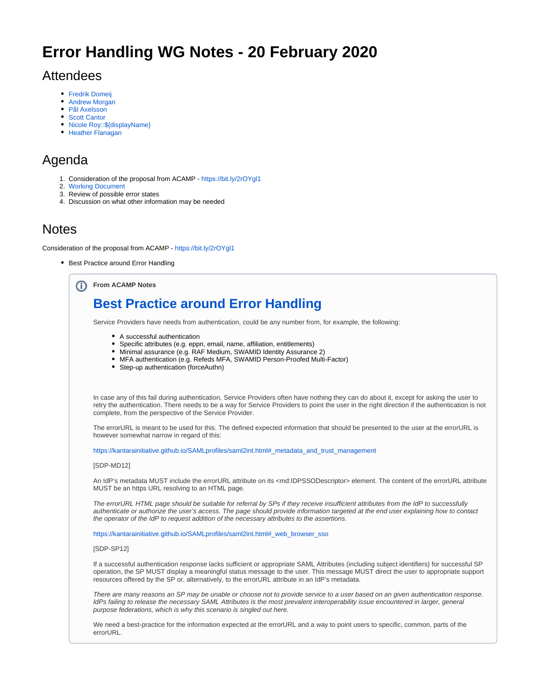# **Error Handling WG Notes - 20 February 2020**

## Attendees

- [Fredrik Domeij](https://wiki.refeds.org/display/~federated-user-9462)
- $\bullet$ [Andrew Morgan](https://wiki.refeds.org/display/~federated-user-6690)
- [Pål Axelsson](https://wiki.refeds.org/display/~federated-user-3701)
- [Scott Cantor](https://wiki.refeds.org/display/~federated-user-772)
- [Nicole Roy::\\${displayName}](https://wiki.refeds.org/display/~federated-user-3192)
- [Heather Flanagan](https://wiki.refeds.org/display/~federated-user-1706)

# Agenda

- 1. Consideration of the proposal from ACAMP -<https://bit.ly/2rOYgl1>
- 2. [Working Document](https://wiki.refeds.org/display/GROUPS/Working+Document+-+Use+Cases+and+Errors)
- 3. Review of possible error states
- 4. Discussion on what other information may be needed

## **Notes**

Consideration of the proposal from ACAMP -<https://bit.ly/2rOYgl1>

• Best Practice around Error Handling

**From ACAMP Notes** (i)

# **[Best Practice around Error Handling](https://wiki.refeds.org/display/GROUPS/Best+Practice+around+Error+Handling)**

Service Providers have needs from authentication, could be any number from, for example, the following:

- A successful authentication
- Specific attributes (e.g. eppn, email, name, affiliation, entitlements)
- Minimal assurance (e.g. RAF Medium, SWAMID Identity Assurance 2)
- MFA authentication (e.g. Refeds MFA, SWAMID Person-Proofed Multi-Factor)
- Step-up authentication (forceAuthn)

In case any of this fail during authentication, Service Providers often have nothing they can do about it, except for asking the user to retry the authentication. There needs to be a way for Service Providers to point the user in the right direction if the authentication is not complete, from the perspective of the Service Provider.

The errorURL is meant to be used for this. The defined expected information that should be presented to the user at the errorURL is however somewhat narrow in regard of this:

[https://kantarainitiative.github.io/SAMLprofiles/saml2int.html#\\_metadata\\_and\\_trust\\_management](https://kantarainitiative.github.io/SAMLprofiles/saml2int.html#_metadata_and_trust_management)

#### [SDP-MD12]

An IdP's metadata MUST include the errorURL attribute on its <md:IDPSSODescriptor> element. The content of the errorURL attribute MUST be an https URL resolving to an HTML page.

The errorURL HTML page should be suitable for referral by SPs if they receive insufficient attributes from the IdP to successfully authenticate or authorize the user's access. The page should provide information targeted at the end user explaining how to contact the operator of the IdP to request addition of the necessary attributes to the assertions.

[https://kantarainitiative.github.io/SAMLprofiles/saml2int.html#\\_web\\_browser\\_sso](https://kantarainitiative.github.io/SAMLprofiles/saml2int.html#_web_browser_sso)

#### [SDP-SP12]

If a successful authentication response lacks sufficient or appropriate SAML Attributes (including subject identifiers) for successful SP operation, the SP MUST display a meaningful status message to the user. This message MUST direct the user to appropriate support resources offered by the SP or, alternatively, to the errorURL attribute in an IdP's metadata.

There are many reasons an SP may be unable or choose not to provide service to a user based on an given authentication response. IdPs failing to release the necessary SAML Attributes is the most prevalent interoperability issue encountered in larger, general purpose federations, which is why this scenario is singled out here.

We need a best-practice for the information expected at the errorURL and a way to point users to specific, common, parts of the errorURL.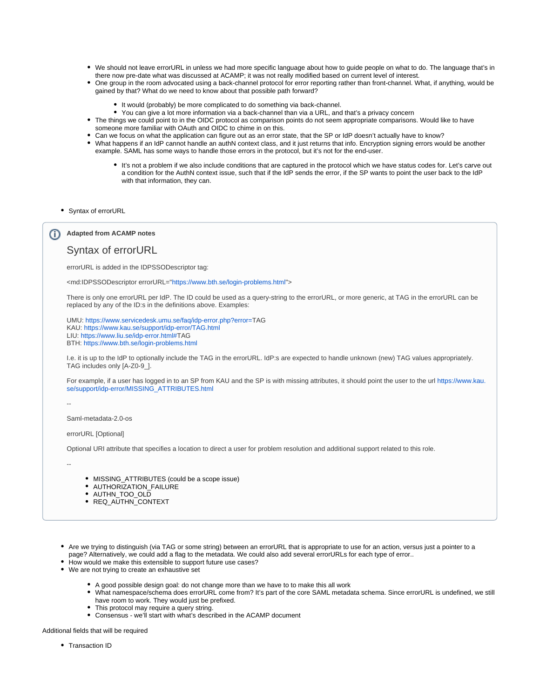- We should not leave errorURL in unless we had more specific language about how to guide people on what to do. The language that's in there now pre-date what was discussed at ACAMP; it was not really modified based on current level of interest.
- One group in the room advocated using a back-channel protocol for error reporting rather than front-channel. What, if anything, would be gained by that? What do we need to know about that possible path forward?
	- It would (probably) be more complicated to do something via back-channel.
	- You can give a lot more information via a back-channel than via a URL, and that's a privacy concern
- The things we could point to in the OIDC protocol as comparison points do not seem appropriate comparisons. Would like to have someone more familiar with OAuth and OIDC to chime in on this.
- Can we focus on what the application can figure out as an error state, that the SP or IdP doesn't actually have to know?
- What happens if an IdP cannot handle an authN context class, and it just returns that info. Encryption signing errors would be another example. SAML has some ways to handle those errors in the protocol, but it's not for the end-user.
	- It's not a problem if we also include conditions that are captured in the protocol which we have status codes for. Let's carve out a condition for the AuthN context issue, such that if the IdP sends the error, if the SP wants to point the user back to the IdP with that information, they can.
- Syntax of errorURL

### **Adapted from ACAMP notes**

### Syntax of errorURL

errorURL is added in the IDPSSODescriptor tag:

<md:IDPSSODescriptor errorURL=["https://www.bth.se/login-problems.html"](https://www.kau.se/faq/inloggningsproblem.html)>

There is only one errorURL per IdP. The ID could be used as a query-string to the errorURL, or more generic, at TAG in the errorURL can be replaced by any of the ID:s in the definitions above. Examples:

UMU: [https://www.servicedesk.umu.se/faq/idp-error.php?error=](https://www.servicedesk.umu.se/faq/idp-error.php?error=SWAMID-SP-ERROR)TAG KAU: [https://www.kau.se/support/idp-error/TAG.html](https://www.kau.se/faq/idp-error/SWAMID-SP-ERROR.html) LIU: [https://www.liu.se/idp-error.html#T](https://www.servicedesk.umu.se/faq/idp-error.html#SWAMID-SP-ERROR)AG BTH: [https://www.bth.se/login-problems.html](https://www.kau.se/faq/inloggningsproblem.html)

I.e. it is up to the IdP to optionally include the TAG in the errorURL. IdP:s are expected to handle unknown (new) TAG values appropriately. TAG includes only [A-Z0-9\_].

For example, if a user has logged in to an SP from KAU and the SP is with missing attributes, it should point the user to the url [https://www.kau.](https://www.kau.se/support/idp-error/MISSING_ATTRIBUTES.html) [se/support/idp-error/MISSING\\_ATTRIBUTES.html](https://www.kau.se/support/idp-error/MISSING_ATTRIBUTES.html)

--

#### Saml-metadata-2.0-os

errorURL [Optional]

Optional URI attribute that specifies a location to direct a user for problem resolution and additional support related to this role.

- --
- MISSING ATTRIBUTES (could be a scope issue)
- AUTHORIZATION FAILURE
- AUTHN\_TOO\_OLD
- REQ\_AUTHN\_CONTEXT
- Are we trying to distinguish (via TAG or some string) between an errorURL that is appropriate to use for an action, versus just a pointer to a page? Alternatively, we could add a flag to the metadata. We could also add several errorURLs for each type of error..
- How would we make this extensible to support future use cases?
- We are not trying to create an exhaustive set
	- A good possible design goal: do not change more than we have to to make this all work
	- What namespace/schema does errorURL come from? It's part of the core SAML metadata schema. Since errorURL is undefined, we still have room to work. They would just be prefixed.
	- This protocol may require a query string.
	- Consensus we'll start with what's described in the ACAMP document

### Additional fields that will be required

• Transaction ID